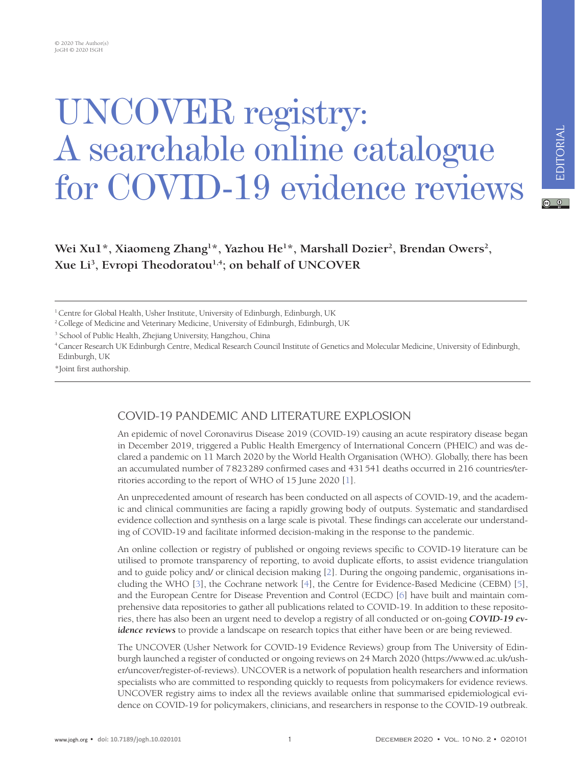# UNCOVER registry: A searchable online catalogue for COVID-19 evidence reviews

## $\begin{array}{cc} \circ & \circ \end{array}$

Wei Xu1\*, Xiaomeng Zhang<sup>1\*</sup>, Yazhou He<sup>1\*</sup>, Marshall Dozier<sup>2</sup>, Brendan Owers<sup>2</sup>, **Xue Li3 , Evropi Theodoratou1,4; on behalf of UNCOVER**

<sup>1</sup> Centre for Global Health, Usher Institute, University of Edinburgh, Edinburgh, UK

<sup>2</sup> College of Medicine and Veterinary Medicine, University of Edinburgh, Edinburgh, UK

<sup>3</sup> School of Public Health, Zhejiang University, Hangzhou, China

4Cancer Research UK Edinburgh Centre, Medical Research Council Institute of Genetics and Molecular Medicine, University of Edinburgh, Edinburgh, UK

\*Joint first authorship.

# COVID-19 PANDEMIC AND LITERATURE EXPLOSION

An epidemic of novel Coronavirus Disease 2019 (COVID-19) causing an acute respiratory disease began in December 2019, triggered a Public Health Emergency of International Concern (PHEIC) and was declared a pandemic on 11 March 2020 by the World Health Organisation (WHO). Globally, there has been an accumulated number of 7823289 confirmed cases and 431541 deaths occurred in 216 countries/territories according to the report of WHO of 15 June 2020 [[1\]](#page-3-0).

An unprecedented amount of research has been conducted on all aspects of COVID-19, and the academic and clinical communities are facing a rapidly growing body of outputs. Systematic and standardised evidence collection and synthesis on a large scale is pivotal. These findings can accelerate our understanding of COVID-19 and facilitate informed decision-making in the response to the pandemic.

An online collection or registry of published or ongoing reviews specific to COVID-19 literature can be utilised to promote transparency of reporting, to avoid duplicate efforts, to assist evidence triangulation and to guide policy and/ or clinical decision making [\[2\]](#page-3-1). During the ongoing pandemic, organisations including the WHO [\[3\]](#page-3-2), the Cochrane network [\[4](#page-3-3)], the Centre for Evidence-Based Medicine (CEBM) [[5](#page-3-4)], and the European Centre for Disease Prevention and Control (ECDC) [[6\]](#page-3-5) have built and maintain comprehensive data repositories to gather all publications related to COVID-19. In addition to these repositories, there has also been an urgent need to develop a registry of all conducted or on-going *COVID-19 evidence reviews* to provide a landscape on research topics that either have been or are being reviewed.

The UNCOVER (Usher Network for COVID-19 Evidence Reviews) group from The University of Edinburgh launched a register of conducted or ongoing reviews on 24 March 2020 (https://www.ed.ac.uk/usher/uncover/register-of-reviews). UNCOVER is a network of population health researchers and information specialists who are committed to responding quickly to requests from policymakers for evidence reviews. UNCOVER registry aims to index all the reviews available online that summarised epidemiological evidence on COVID-19 for policymakers, clinicians, and researchers in response to the COVID-19 outbreak.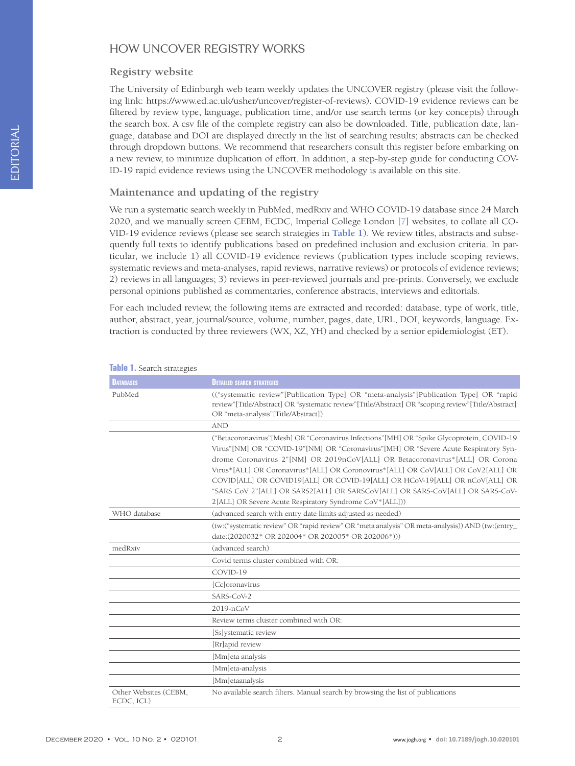# HOW UNCOVER REGISTRY WORKS

#### **Registry website**

The University of Edinburgh web team weekly updates the UNCOVER registry (please visit the following link: https://www.ed.ac.uk/usher/uncover/register-of-reviews). COVID-19 evidence reviews can be filtered by review type, language, publication time, and/or use search terms (or key concepts) through the search box. A csv file of the complete registry can also be downloaded. Title, publication date, language, database and DOI are displayed directly in the list of searching results; abstracts can be checked through dropdown buttons. We recommend that researchers consult this register before embarking on a new review, to minimize duplication of effort. In addition, a step-by-step guide for conducting COV-ID-19 rapid evidence reviews using the UNCOVER methodology is available on this site.

### **Maintenance and updating of the registry**

We run a systematic search weekly in PubMed, medRxiv and WHO COVID-19 database since 24 March 2020, and we manually screen CEBM, ECDC, Imperial College London [\[7\]](#page-3-6) websites, to collate all CO-VID-19 evidence reviews (please see search strategies in **[Table 1](#page-1-0)**). We review titles, abstracts and subsequently full texts to identify publications based on predefined inclusion and exclusion criteria. In particular, we include 1) all COVID-19 evidence reviews (publication types include scoping reviews, systematic reviews and meta-analyses, rapid reviews, narrative reviews) or protocols of evidence reviews; 2) reviews in all languages; 3) reviews in peer-reviewed journals and pre-prints. Conversely, we exclude personal opinions published as commentaries, conference abstracts, interviews and editorials.

For each included review, the following items are extracted and recorded: database, type of work, title, author, abstract, year, journal/source, volume, number, pages, date, URL, DOI, keywords, language. Extraction is conducted by three reviewers (WX, XZ, YH) and checked by a senior epidemiologist (ET).

| <b>DATABASES</b>                    | <b>DETAILED SEARCH STRATEGIES</b>                                                                                                                                                                                                                                                                                                                                                                                                                                                                                                                                                  |
|-------------------------------------|------------------------------------------------------------------------------------------------------------------------------------------------------------------------------------------------------------------------------------------------------------------------------------------------------------------------------------------------------------------------------------------------------------------------------------------------------------------------------------------------------------------------------------------------------------------------------------|
| PubMed                              | ("systematic review"[Publication Type] OR "meta-analysis"[Publication Type] OR "rapid"<br>review"[Title/Abstract] OR "systematic review"[Title/Abstract] OR "scoping review"[Title/Abstract]<br>OR "meta-analysis"[Title/Abstract])                                                                                                                                                                                                                                                                                                                                                |
|                                     | <b>AND</b>                                                                                                                                                                                                                                                                                                                                                                                                                                                                                                                                                                         |
|                                     | ("Betacoronavirus" [Mesh] OR "Coronavirus Infections" [MH] OR "Spike Glycoprotein, COVID-19<br>Virus"[NM] OR "COVID-19"[NM] OR "Coronavirus"[MH] OR "Severe Acute Respiratory Syn-<br>drome Coronavirus 2"[NM] OR 2019nCoV[ALL] OR Betacoronavirus*[ALL] OR Corona<br>Virus*[ALL] OR Coronavirus*[ALL] OR Coronovirus*[ALL] OR CoV[ALL] OR CoV2[ALL] OR<br>COVID[ALL] OR COVID19[ALL] OR COVID-19[ALL] OR HCoV-19[ALL] OR nCoV[ALL] OR<br>"SARS CoV 2"[ALL] OR SARS2[ALL] OR SARSCoV[ALL] OR SARS-CoV[ALL] OR SARS-CoV-<br>2[ALL] OR Severe Acute Respiratory Syndrome CoV*[ALL])) |
| WHO database                        | (advanced search with entry date limits adjusted as needed)                                                                                                                                                                                                                                                                                                                                                                                                                                                                                                                        |
|                                     | (tw:("systematic review" OR "rapid review" OR "meta analysis" OR meta-analysis)) AND (tw:(entry_<br>date:(2020032* OR 202004* OR 202005* OR 202006*)))                                                                                                                                                                                                                                                                                                                                                                                                                             |
| medRxiv                             | (advanced search)                                                                                                                                                                                                                                                                                                                                                                                                                                                                                                                                                                  |
|                                     | Covid terms cluster combined with OR:                                                                                                                                                                                                                                                                                                                                                                                                                                                                                                                                              |
|                                     | COVID-19                                                                                                                                                                                                                                                                                                                                                                                                                                                                                                                                                                           |
|                                     | [Cc]oronavirus                                                                                                                                                                                                                                                                                                                                                                                                                                                                                                                                                                     |
|                                     | SARS-CoV-2                                                                                                                                                                                                                                                                                                                                                                                                                                                                                                                                                                         |
|                                     | 2019-nCoV                                                                                                                                                                                                                                                                                                                                                                                                                                                                                                                                                                          |
|                                     | Review terms cluster combined with OR:                                                                                                                                                                                                                                                                                                                                                                                                                                                                                                                                             |
|                                     | [Ss]ystematic review                                                                                                                                                                                                                                                                                                                                                                                                                                                                                                                                                               |
|                                     | [Rr]apid review                                                                                                                                                                                                                                                                                                                                                                                                                                                                                                                                                                    |
|                                     | [Mm]eta analysis                                                                                                                                                                                                                                                                                                                                                                                                                                                                                                                                                                   |
|                                     | [Mm]eta-analysis                                                                                                                                                                                                                                                                                                                                                                                                                                                                                                                                                                   |
|                                     | [Mm]etaanalysis                                                                                                                                                                                                                                                                                                                                                                                                                                                                                                                                                                    |
| Other Websites (CEBM,<br>ECDC, ICL) | No available search filters. Manual search by browsing the list of publications                                                                                                                                                                                                                                                                                                                                                                                                                                                                                                    |

#### <span id="page-1-0"></span>**Table 1.** Search strategies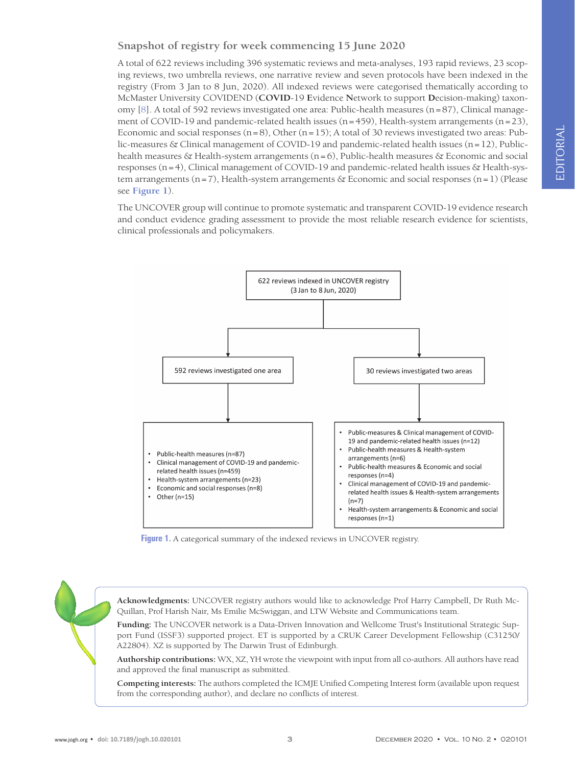**Snapshot of registry for week commencing 15 June 2020**

A total of 622 reviews including 396 systematic reviews and meta-analyses, 193 rapid reviews, 23 scoping reviews, two umbrella reviews, one narrative review and seven protocols have been indexed in the registry (From 3 Jan to 8 Jun, 2020). All indexed reviews were categorised thematically according to McMaster University COVIDEND (**COVID**-19 **E**vidence **N**etwork to support **D**ecision-making) taxonomy [\[8](#page-3-7)]. A total of 592 reviews investigated one area: Public-health measures (n=87), Clinical management of COVID-19 and pandemic-related health issues ( $n=459$ ), Health-system arrangements ( $n=23$ ), Economic and social responses  $(n=8)$ , Other  $(n=15)$ ; A total of 30 reviews investigated two areas: Public-measures & Clinical management of COVID-19 and pandemic-related health issues (n=12), Publichealth measures & Health-system arrangements ( $n=6$ ), Public-health measures  $\&$  Economic and social responses (n=4), Clinical management of COVID-19 and pandemic-related health issues & Health-system arrangements (n=7), Health-system arrangements & Economic and social responses (n=1) (Please see **[Figure 1](#page-2-0)**).

The UNCOVER group will continue to promote systematic and transparent COVID-19 evidence research and conduct evidence grading assessment to provide the most reliable research evidence for scientists, clinical professionals and policymakers.

<span id="page-2-0"></span>

**Figure 1.** A categorical summary of the indexed reviews in UNCOVER registry.

**Acknowledgments:** UNCOVER registry authors would like to acknowledge Prof Harry Campbell, Dr Ruth Mc-Quillan, Prof Harish Nair, Ms Emilie McSwiggan, and LTW Website and Communications team.

**Funding:** The UNCOVER network is a Data-Driven Innovation and Wellcome Trust's Institutional Strategic Support Fund (ISSF3) supported project. ET is supported by a CRUK Career Development Fellowship (C31250/ A22804). XZ is supported by The Darwin Trust of Edinburgh.

**Authorship contributions:** WX, XZ, YH wrote the viewpoint with input from all co-authors. All authors have read and approved the final manuscript as submitted.

**Competing interests:** The authors completed the ICMJE Unified Competing Interest form (available upon request from the corresponding author), and declare no conflicts of interest.